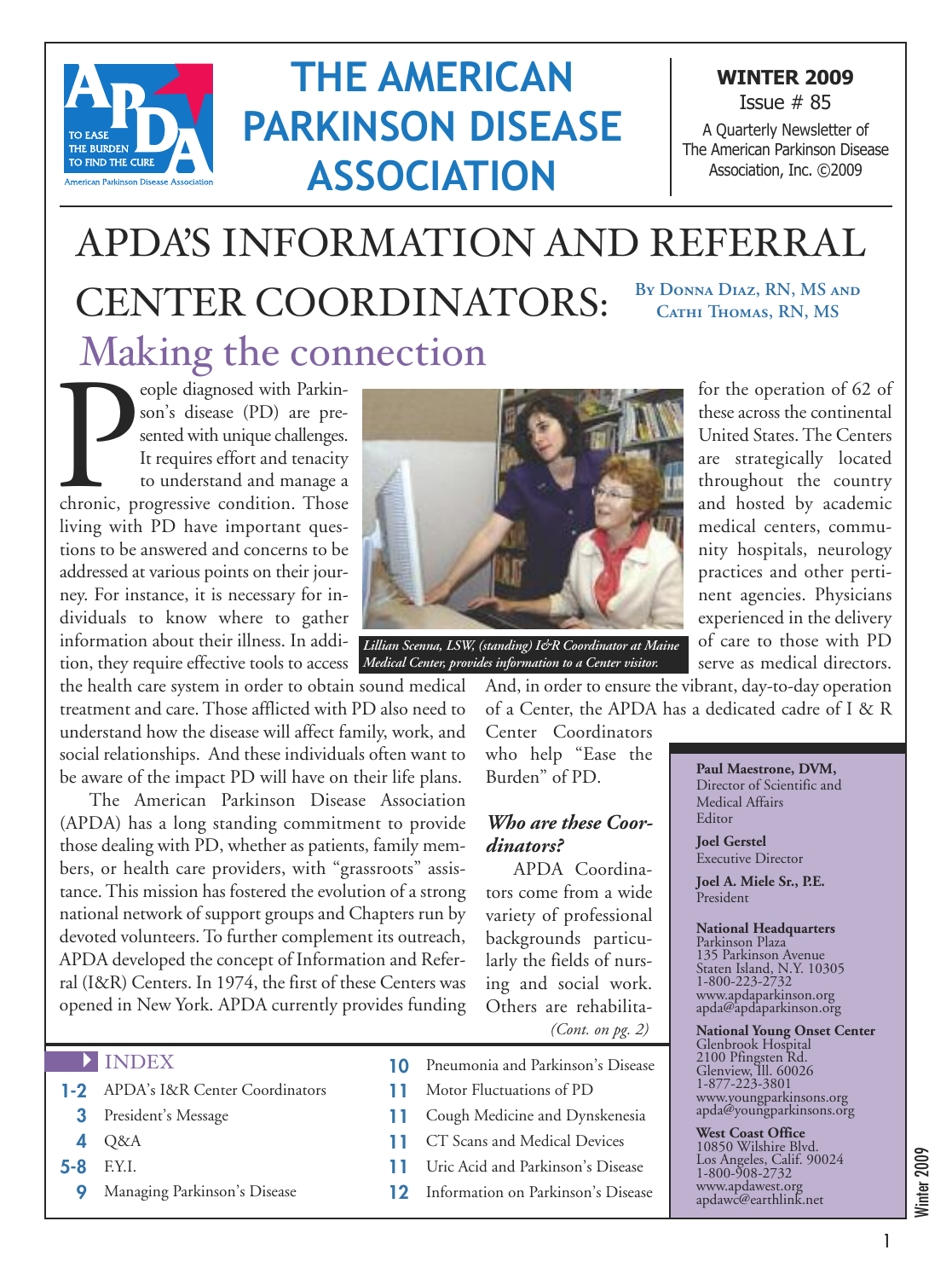

## **THE AMERICAN PARKINSON DISEASE ASSOCIATION**

**WINTER 2009** Issue # 85

A Quarterly Newsletter of The American Parkinson Disease Association, Inc. ©2009

### **By Donna Diaz, RN, MS and Cathi Thomas, RN, MS** Making the connection APDA'S INFORMATION AND REFERRAL CENTER COORDINATORS:

P<br>chronic, p eople diagnosed with Parkinson's disease (PD) are presented with unique challenges. It requires effort and tenacity to understand and manage a chronic, progressive condition. Those living with PD have important questions to be answered and concerns to be addressed at various points on their journey. For instance, it is necessary for individuals to know where to gather information about their illness. In addi-*Lillian Scenna, LSW, (standing) I&R Coordinator at Maine* tion, they require effective tools to access *Medical Center, provides information to a Center visitor.*

the health care system in order to obtain sound medical treatment and care. Those afflicted with PD also need to understand how the disease will affect family, work, and social relationships. And these individuals often want to be aware of the impact PD will have on their life plans.

The American Parkinson Disease Association (APDA) has a long standing commitment to provide those dealing with PD, whether as patients, family members, or health care providers, with "grassroots" assistance.This mission has fostered the evolution of a strong national network of support groups and Chapters run by devoted volunteers. To further complement its outreach, APDA developed the concept of Information and Referral (I&R) Centers. In 1974, the first of these Centers was opened in New York. APDA currently provides funding



And, in order to ensure the vibrant, day-to-day operation of a Center, the APDA has a dedicated cadre of I & R

Center Coordinators who help "Ease the Burden" of PD.

#### *Who are these Coordinators?*

APDA Coordinators come from a wide variety of professional backgrounds particularly the fields of nursing and social work. Others are rehabilita-

*(Cont. on pg. 2)*

- **10 11 11 11 11** Pneumonia and Parkinson's Disease Motor Fluctuations of PD Cough Medicine and Dynskenesia CT Scans and Medical Devices
	-
- **12** Information on Parkinson's Disease

for the operation of 62 of these across the continental United States.The Centers are strategically located throughout the country and hosted by academic medical centers, community hospitals, neurology practices and other pertinent agencies. Physicians experienced in the delivery of care to those with PD serve as medical directors.

**Paul Maestrone, DVM,** Director of Scientific and

Medical Affairs Editor

**Joel Gerstel** Executive Director

**Joel A. Miele Sr., P.E.** President

**National Headquarters** Parkinson Plaza <sup>135</sup> Parkinson Avenue Staten Island, N.Y. <sup>10305</sup> 1-800-223-2732 www.apdaparkinson.org apda@apdaparkinson.org

**National Young Onset Center** Glenbrook Hospital <sup>2100</sup> Pfingsten Rd. Glenview, Ill. <sup>60026</sup> 1-877-223-3801 www.youngparkinsons.org apda@youngparkinsons.org

**West Coast Office** <sup>10850</sup> Wilshire Blvd. Los Angeles, Calif. <sup>90024</sup> 1-800-908-2732 www.apdawest.org apdawc@earthlink.net

Winter 2009

- **1-2** APDA's I&R Center Coordinators
- **3** President's Message
- **4** Q&A
- **5-8** F.Y.I.
	- **9** Managing Parkinson's Disease
- Uric Acid and Parkinson's Disease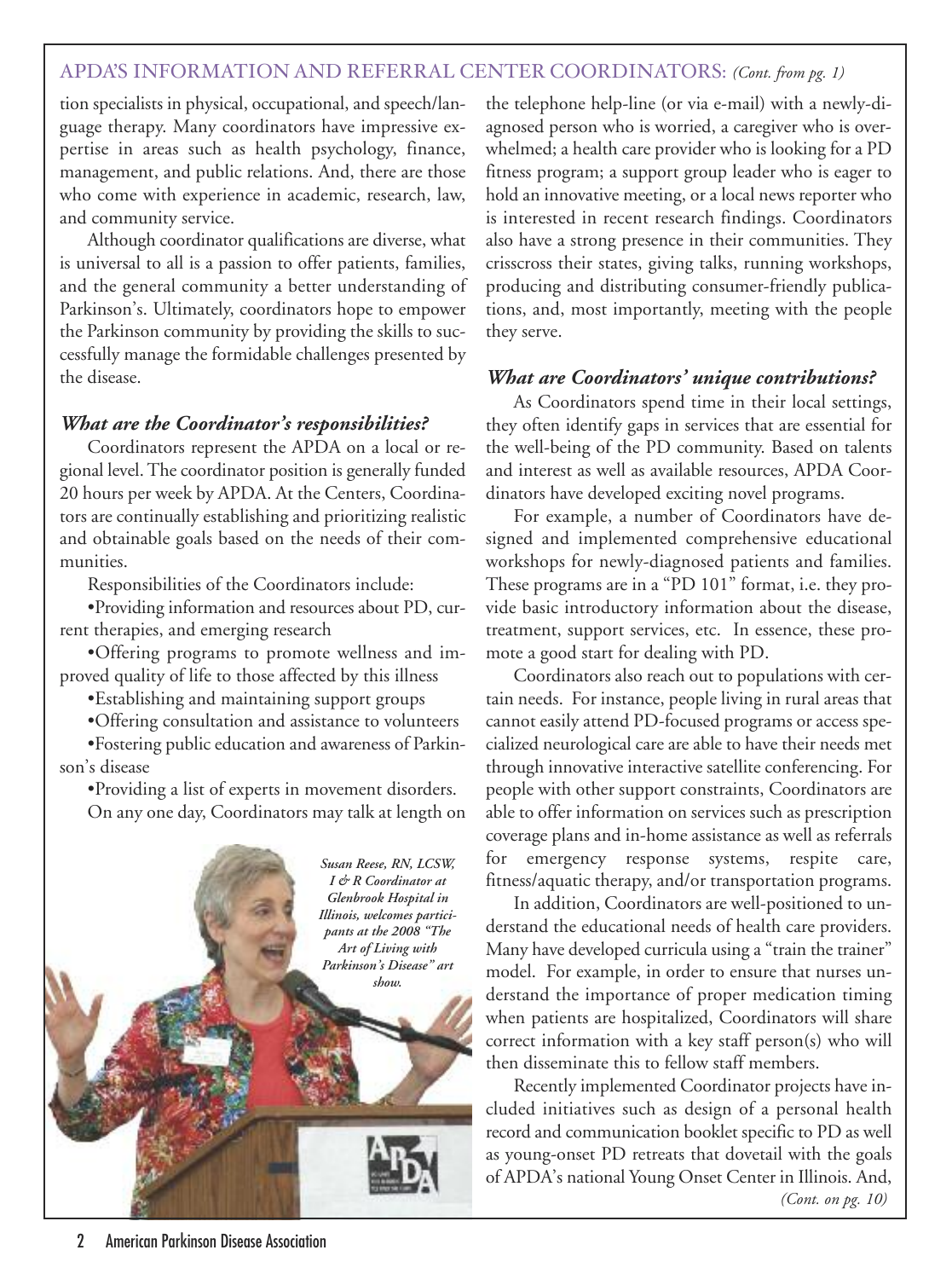#### APDA'S INFORMATION AND REFERRAL CENTER COORDINATORS: *(Cont. from pg. 1)*

tion specialists in physical, occupational, and speech/language therapy. Many coordinators have impressive expertise in areas such as health psychology, finance, management, and public relations. And, there are those who come with experience in academic, research, law, and community service.

Although coordinator qualifications are diverse, what is universal to all is a passion to offer patients, families, and the general community a better understanding of Parkinson's. Ultimately, coordinators hope to empower the Parkinson community by providing the skills to successfully manage the formidable challenges presented by the disease.

#### *What are the Coordinator's responsibilities?*

Coordinators represent the APDA on a local or regional level.The coordinator position is generally funded 20 hours per week by APDA. At the Centers, Coordinators are continually establishing and prioritizing realistic and obtainable goals based on the needs of their communities.

Responsibilities of the Coordinators include:

•Providing information and resources about PD, current therapies, and emerging research

•Offering programs to promote wellness and improved quality of life to those affected by this illness

•Establishing and maintaining support groups

•Offering consultation and assistance to volunteers

•Fostering public education and awareness of Parkinson's disease

•Providing a list of experts in movement disorders. On any one day, Coordinators may talk at length on



the telephone help-line (or via e-mail) with a newly-diagnosed person who is worried, a caregiver who is overwhelmed; a health care provider who is looking for a PD fitness program; a support group leader who is eager to hold an innovative meeting, or a local news reporter who is interested in recent research findings. Coordinators also have a strong presence in their communities. They crisscross their states, giving talks, running workshops, producing and distributing consumer-friendly publications, and, most importantly, meeting with the people they serve.

#### *What are Coordinators' unique contributions?*

As Coordinators spend time in their local settings, they often identify gaps in services that are essential for the well-being of the PD community. Based on talents and interest as well as available resources, APDA Coordinators have developed exciting novel programs.

For example, a number of Coordinators have designed and implemented comprehensive educational workshops for newly-diagnosed patients and families. These programs are in a "PD 101" format, i.e. they provide basic introductory information about the disease, treatment, support services, etc. In essence, these promote a good start for dealing with PD.

Coordinators also reach out to populations with certain needs. For instance, people living in rural areas that cannot easily attend PD-focused programs or access specialized neurological care are able to have their needs met through innovative interactive satellite conferencing. For people with other support constraints, Coordinators are able to offer information on services such as prescription coverage plans and in-home assistance as well as referrals for emergency response systems, respite care, fitness/aquatic therapy, and/or transportation programs.

In addition, Coordinators are well-positioned to understand the educational needs of health care providers. Many have developed curricula using a "train the trainer" model. For example, in order to ensure that nurses understand the importance of proper medication timing when patients are hospitalized, Coordinators will share correct information with a key staff person(s) who will then disseminate this to fellow staff members.

Recently implemented Coordinator projects have included initiatives such as design of a personal health record and communication booklet specific to PD as well as young-onset PD retreats that dovetail with the goals of APDA's national Young Onset Center in Illinois. And, *(Cont. on pg. 10)*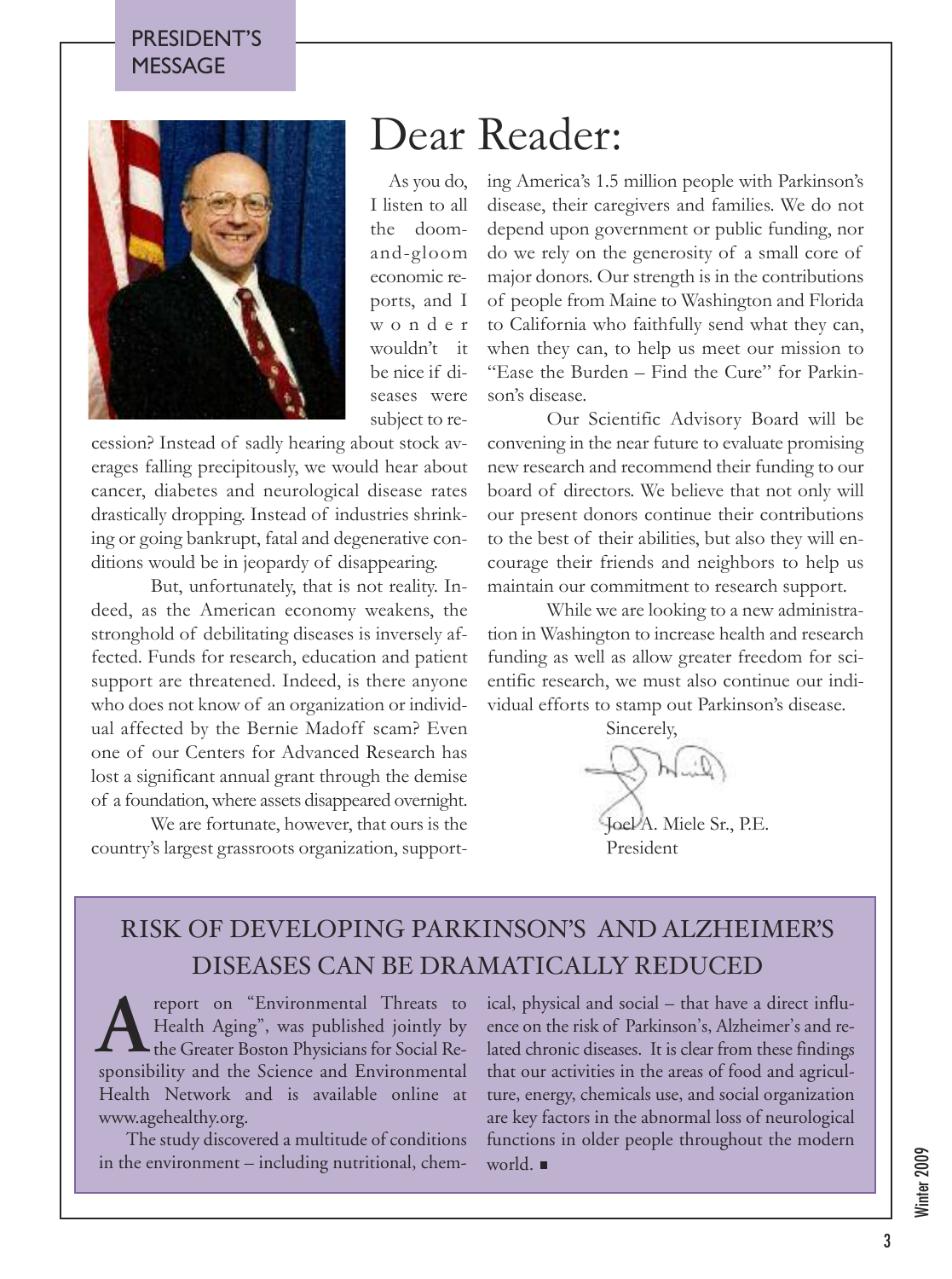#### PRESIDENT'S MESSAGE



I listen to all the doomand-gloom economic reports, and I w o n d e r wouldn't it be nice if diseases were subject to re-

cession? Instead of sadly hearing about stock averages falling precipitously, we would hear about cancer, diabetes and neurological disease rates drastically dropping. Instead of industries shrinking or going bankrupt, fatal and degenerative conditions would be in jeopardy of disappearing.

But, unfortunately, that is not reality. Indeed, as the American economy weakens, the stronghold of debilitating diseases is inversely affected. Funds for research, education and patient support are threatened. Indeed, is there anyone who does not know of an organization or individual affected by the Bernie Madoff scam? Even one of our Centers for Advanced Research has lost a significant annual grant through the demise of a foundation, where assets disappeared overnight.

We are fortunate, however, that ours is the country's largest grassroots organization, support-

## Dear Reader:

As you do,

ing America's 1.5 million people with Parkinson's disease, their caregivers and families. We do not depend upon government or public funding, nor do we rely on the generosity of a small core of major donors. Our strength is in the contributions of people from Maine to Washington and Florida to California who faithfully send what they can, when they can, to help us meet our mission to "Ease the Burden – Find the Cure" for Parkinson's disease.

Our Scientific Advisory Board will be convening in the near future to evaluate promising new research and recommend their funding to our board of directors. We believe that not only will our present donors continue their contributions to the best of their abilities, but also they will encourage their friends and neighbors to help us maintain our commitment to research support.

While we are looking to a new administration in Washington to increase health and research funding as well as allow greater freedom for scientific research, we must also continue our individual efforts to stamp out Parkinson's disease.

Sincerely,

Joel A. Miele Sr., P.E. President

### RISK OF DEVELOPING PARKINSON'S AND ALZHEIMER'S DISEASES CAN BE DRAMATICALLY REDUCED

report on "Environmental Threats to Health Aging", was published jointly by the Greater Boston Physicians for Social Re-**A** report on "Environmental Threats to Health Aging", was published jointly by the Greater Boston Physicians for Social Responsibility and the Science and Environmental Health Network and is available online at www.agehealthy.org.

The study discovered a multitude of conditions in the environment – including nutritional, chemical, physical and social – that have a direct influence on the risk of Parkinson's, Alzheimer's and related chronic diseases. It is clear from these findings that our activities in the areas of food and agriculture, energy, chemicals use, and social organization are key factors in the abnormal loss of neurological functions in older people throughout the modern world.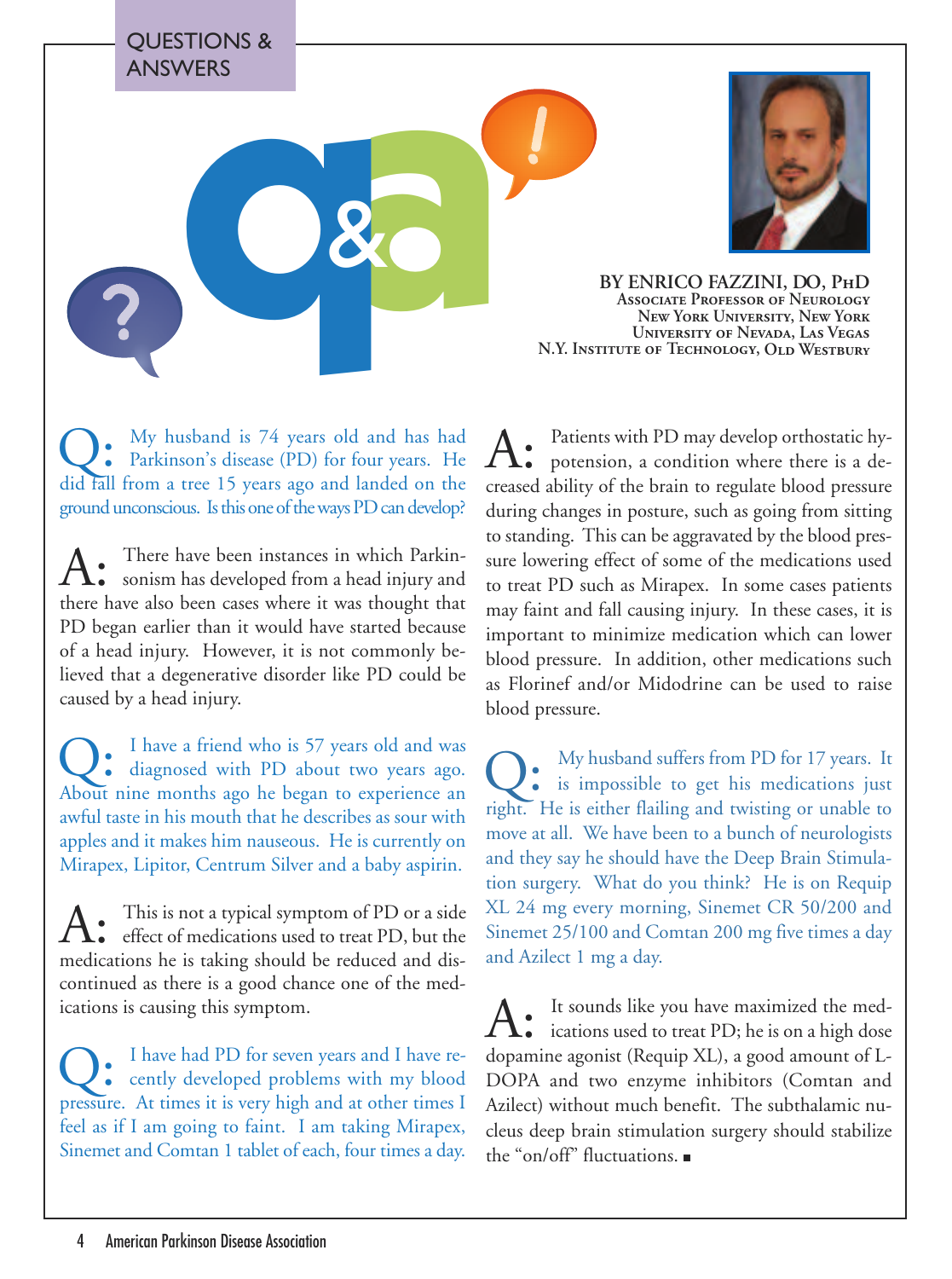

**Associate Professor of Neurology New York University, New York University of Nevada, Las Vegas N.Y. Institute of Technology, Old Westbur<sup>y</sup>**

Q: My husband is 74 years old and has had Parkinson's disease (PD) for four years. He did fall from a tree 15 years ago and landed on the ground unconscious. Is this one of the ways PD can develop?

A: There have been instances in which Parkinsonism has developed from a head injury and there have also been cases where it was thought that PD began earlier than it would have started because of a head injury. However, it is not commonly believed that a degenerative disorder like PD could be caused by a head injury.

Q: I have a friend who is 57 years old and was diagnosed with PD about two years ago. About nine months ago he began to experience an awful taste in his mouth that he describes as sour with apples and it makes him nauseous. He is currently on Mirapex, Lipitor, Centrum Silver and a baby aspirin.

A: This is not a typical symptom of PD or a side effect of medications used to treat PD, but the medications he is taking should be reduced and discontinued as there is a good chance one of the medications is causing this symptom.

Q: I have had PD for seven years and I have recently developed problems with my blood pressure. At times it is very high and at other times I feel as if I am going to faint. I am taking Mirapex, Sinemet and Comtan 1 tablet of each, four times a day.

A: Patients with PD may develop orthostatic hypotension, a condition where there is a decreased ability of the brain to regulate blood pressure during changes in posture, such as going from sitting to standing. This can be aggravated by the blood pressure lowering effect of some of the medications used to treat PD such as Mirapex. In some cases patients may faint and fall causing injury. In these cases, it is important to minimize medication which can lower blood pressure. In addition, other medications such as Florinef and/or Midodrine can be used to raise blood pressure.

Q: My husband suffers from PD for 17 years. It is impossible to get his medications just right. He is either flailing and twisting or unable to move at all. We have been to a bunch of neurologists and they say he should have the Deep Brain Stimulation surgery. What do you think? He is on Requip XL 24 mg every morning, Sinemet CR 50/200 and Sinemet 25/100 and Comtan 200 mg five times a day and Azilect 1 mg a day.

A: It sounds like you have maximized the medications used to treat PD; he is on a high dose dopamine agonist (Requip XL), a good amount of L-DOPA and two enzyme inhibitors (Comtan and Azilect) without much benefit. The subthalamic nucleus deep brain stimulation surgery should stabilize the "on/off" fluctuations.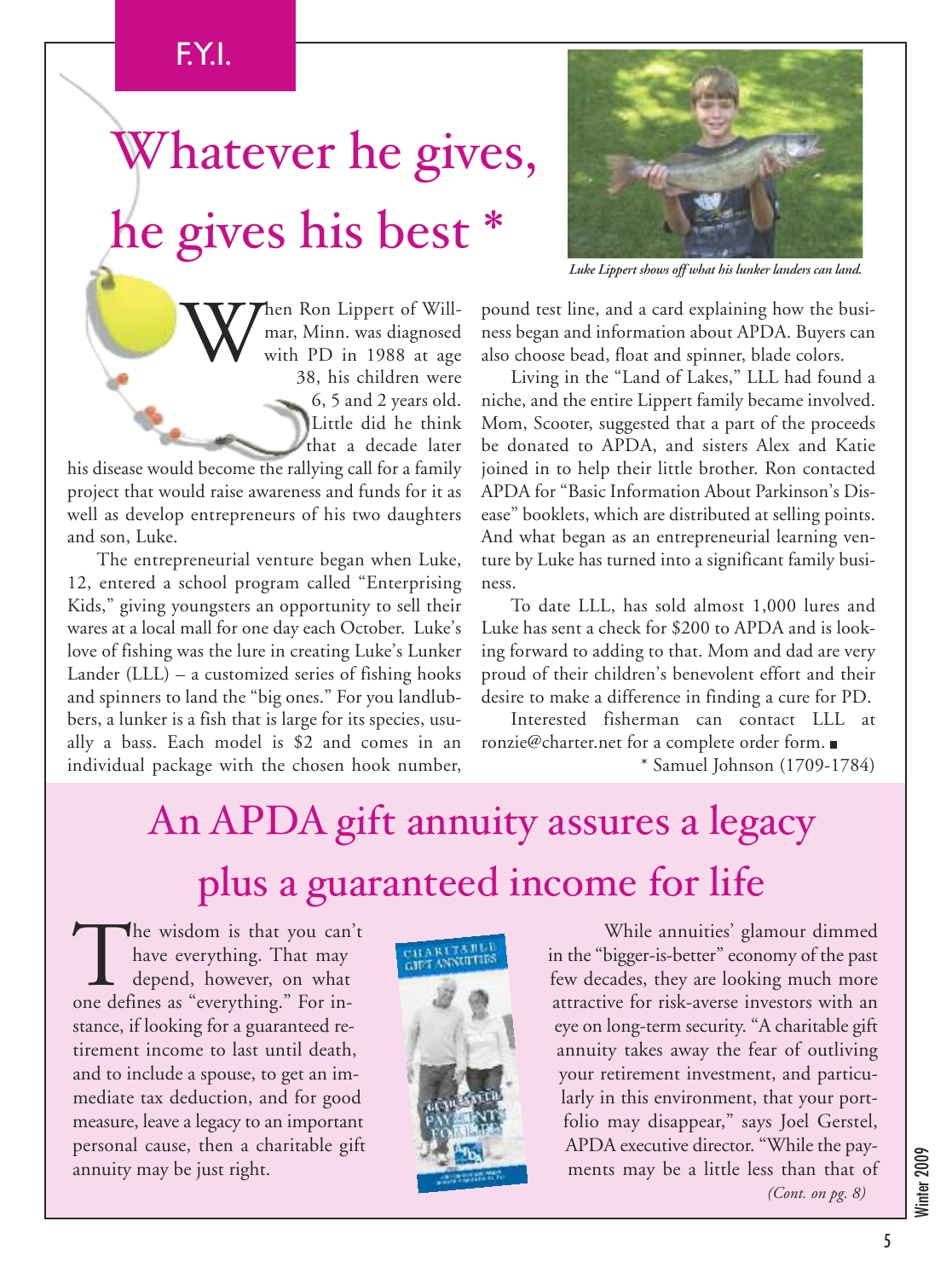### F.Y.I.

# Whatever he gives, he gives his best \*

When Ron Lippert of Will-<br>mar, Minn. was diagnosed<br>with PD in 1988 at age<br>38, his children were mar, Minn. was diagnosed with PD in 1988 at age 38, his children were 6, 5 and 2 years old. Little did he think that a decade later

his disease would become the rallying call for a family project that would raise awareness and funds for it as well as develop entrepreneurs of his two daughters and son, Luke.

The entrepreneurial venture began when Luke, 12, entered a school program called "Enterprising Kids," giving youngsters an opportunity to sell their wares at a local mall for one day each October. Luke's love of fishing was the lure in creating Luke's Lunker Lander (LLL) – a customized series of fishing hooks and spinners to land the "big ones." For you landlubbers, a lunker is a fish that is large for its species, usually a bass. Each model is \$2 and comes in an individual package with the chosen hook number,



*Luke Lippert shows off what his lunker landers can land.*

pound test line, and a card explaining how the business began and information about APDA. Buyers can also choose bead, float and spinner, blade colors.

Living in the "Land of Lakes," LLL had found a niche, and the entire Lippert family became involved. Mom, Scooter, suggested that a part of the proceeds be donated to APDA, and sisters Alex and Katie joined in to help their little brother. Ron contacted APDA for "Basic Information About Parkinson's Disease" booklets, which are distributed at selling points. And what began as an entrepreneurial learning venture by Luke has turned into a significant family business.

To date LLL, has sold almost 1,000 lures and Luke has sent a check for \$200 to APDA and is looking forward to adding to that. Mom and dad are very proud of their children's benevolent effort and their desire to make a difference in finding a cure for PD.

Interested fisherman can contact LLL at ronzie@charter.net for a complete order form.

\* Samuel Johnson (1709-1784)

## An APDA gift annuity assures a legacy plus a guaranteed income for life

The wisdom is that you can't have everything. That may depend, however, on what one defines as "everything." For instance, if looking for a guaranteed retirement income to last until death, and to include a spouse, to get an immediate tax deduction, and for good measure, leave a legacy to an important personal cause, then a charitable gift annuity may be just right.



While annuities' glamour dimmed in the "bigger-is-better" economy of the past few decades, they are looking much more attractive for risk-averse investors with an eye on long-term security. "A charitable gift annuity takes away the fear of outliving your retirement investment, and particularly in this environment, that your portfolio may disappear," says Joel Gerstel, APDA executive director. "While the payments may be a little less than that of *(Cont. on pg. 8)*

Winter 2009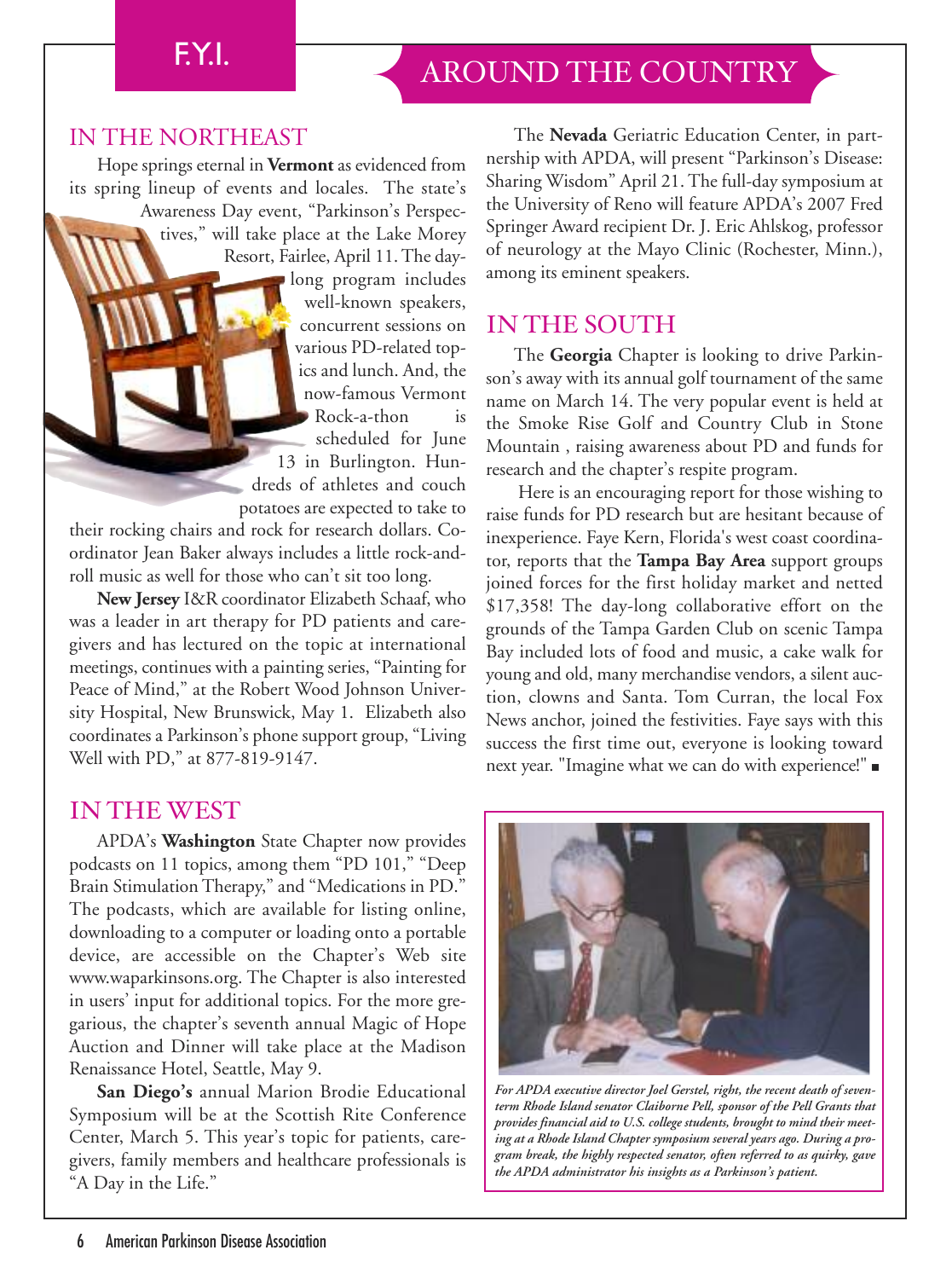### F.Y.I.

### AROUND THE COUNTRY

#### IN THE NORTHEAST

Hope springs eternal in **Vermont** as evidenced from its spring lineup of events and locales. The state's Awareness Day event, "Parkinson's Perspectives," will take place at the Lake Morey Resort, Fairlee, April 11.The daylong program includes well-known speakers, concurrent sessions on various PD-related topics and lunch. And, the now-famous Vermont Rock-a-thon is scheduled for June 13 in Burlington. Hundreds of athletes and couch potatoes are expected to take to their rocking chairs and rock for research dollars. Coordinator Jean Baker always includes a little rock-and-

roll music as well for those who can't sit too long. **New Jersey** I&R coordinator Elizabeth Schaaf, who

was a leader in art therapy for PD patients and caregivers and has lectured on the topic at international meetings, continues with a painting series, "Painting for Peace of Mind," at the Robert Wood Johnson University Hospital, New Brunswick, May 1. Elizabeth also coordinates a Parkinson's phone support group, "Living Well with PD," at 877-819-9147.

### IN THE WEST

APDA's **Washington** State Chapter now provides podcasts on 11 topics, among them "PD 101," "Deep Brain Stimulation Therapy," and "Medications in PD." The podcasts, which are available for listing online, downloading to a computer or loading onto a portable device, are accessible on the Chapter's Web site www.waparkinsons.org. The Chapter is also interested in users' input for additional topics. For the more gregarious, the chapter's seventh annual Magic of Hope Auction and Dinner will take place at the Madison Renaissance Hotel, Seattle, May 9.

**San Diego's** annual Marion Brodie Educational Symposium will be at the Scottish Rite Conference Center, March 5. This year's topic for patients, caregivers, family members and healthcare professionals is "A Day in the Life."

The **Nevada** Geriatric Education Center, in partnership with APDA, will present "Parkinson's Disease: Sharing Wisdom" April 21. The full-day symposium at the University of Reno will feature APDA's 2007 Fred Springer Award recipient Dr. J. Eric Ahlskog, professor of neurology at the Mayo Clinic (Rochester, Minn.), among its eminent speakers.

### IN THE SOUTH

The **Georgia** Chapter is looking to drive Parkinson's away with its annual golf tournament of the same name on March 14. The very popular event is held at the Smoke Rise Golf and Country Club in Stone Mountain , raising awareness about PD and funds for research and the chapter's respite program.

Here is an encouraging report for those wishing to raise funds for PD research but are hesitant because of inexperience. Faye Kern, Florida's west coast coordinator, reports that the **Tampa Bay Area** support groups joined forces for the first holiday market and netted \$17,358! The day-long collaborative effort on the grounds of the Tampa Garden Club on scenic Tampa Bay included lots of food and music, a cake walk for young and old, many merchandise vendors, a silent auction, clowns and Santa. Tom Curran, the local Fox News anchor, joined the festivities. Faye says with this success the first time out, everyone is looking toward next year. "Imagine what we can do with experience!"



*For APDA executive director Joel Gerstel, right, the recent death of seventerm Rhode Island senator Claiborne Pell, sponsor of the Pell Grants that provides financial aid to U.S. college students, brought to mind their meeting at a Rhode Island Chapter symposium several years ago. During a program break, the highly respected senator, often referred to as quirky, gave the APDA administrator his insights as a Parkinson's patient.*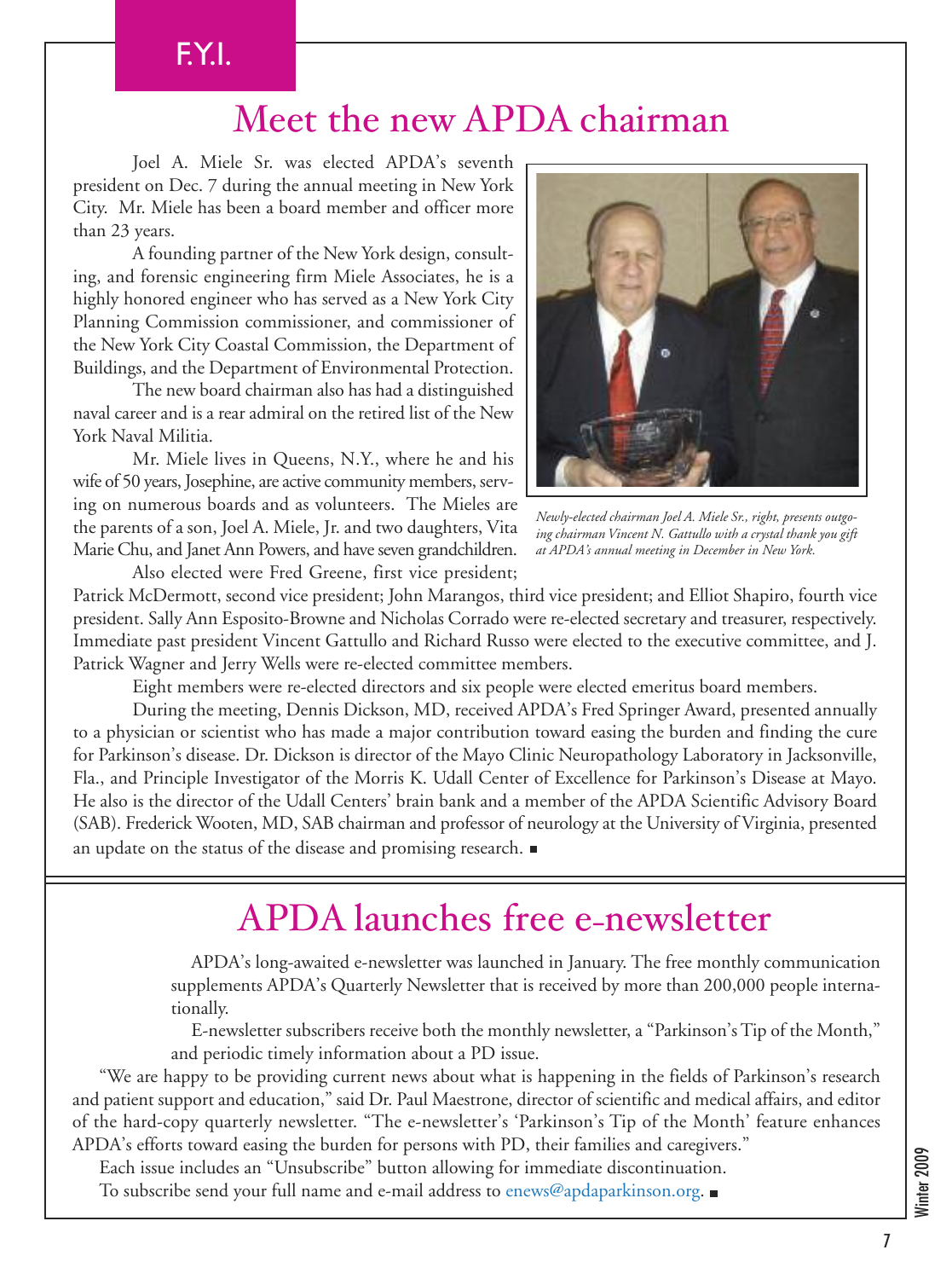### F.Y.I.

### Meet the new APDA chairman

Joel A. Miele Sr. was elected APDA's seventh president on Dec. 7 during the annual meeting in New York City. Mr. Miele has been a board member and officer more than 23 years.

A founding partner of the New York design, consulting, and forensic engineering firm Miele Associates, he is a highly honored engineer who has served as a New York City Planning Commission commissioner, and commissioner of the New York City Coastal Commission, the Department of Buildings, and the Department of Environmental Protection.

The new board chairman also has had a distinguished naval career and is a rear admiral on the retired list of the New York Naval Militia.

Mr. Miele lives in Queens, N.Y., where he and his wife of 50 years, Josephine, are active community members, serving on numerous boards and as volunteers. The Mieles are the parents of a son, Joel A. Miele, Jr. and two daughters, Vita Marie Chu, and Janet Ann Powers, and have seven grandchildren.

Also elected were Fred Greene, first vice president;



*Newly-elected chairman Joel A. Miele Sr., right, presents outgoing chairman Vincent N. Gattullo with a crystal thank you gift at APDA's annual meeting in December in New York.*

Patrick McDermott, second vice president; John Marangos, third vice president; and Elliot Shapiro, fourth vice president. Sally Ann Esposito-Browne and Nicholas Corrado were re-elected secretary and treasurer, respectively. Immediate past president Vincent Gattullo and Richard Russo were elected to the executive committee, and J. Patrick Wagner and Jerry Wells were re-elected committee members.

Eight members were re-elected directors and six people were elected emeritus board members.

During the meeting, Dennis Dickson, MD, received APDA's Fred Springer Award, presented annually to a physician or scientist who has made a major contribution toward easing the burden and finding the cure for Parkinson's disease. Dr. Dickson is director of the Mayo Clinic Neuropathology Laboratory in Jacksonville, Fla., and Principle Investigator of the Morris K. Udall Center of Excellence for Parkinson's Disease at Mayo. He also is the director of the Udall Centers' brain bank and a member of the APDA Scientific Advisory Board (SAB). Frederick Wooten, MD, SAB chairman and professor of neurology at the University of Virginia, presented an update on the status of the disease and promising research.

### APDA launches free e-newsletter

APDA's long-awaited e-newsletter was launched in January. The free monthly communication supplements APDA's Quarterly Newsletter that is received by more than 200,000 people internationally.

E-newsletter subscribers receive both the monthly newsletter, a "Parkinson's Tip of the Month," and periodic timely information about a PD issue.

"We are happy to be providing current news about what is happening in the fields of Parkinson's research and patient support and education," said Dr. Paul Maestrone, director of scientific and medical affairs, and editor of the hard-copy quarterly newsletter. "The e-newsletter's 'Parkinson's Tip of the Month' feature enhances APDA's efforts toward easing the burden for persons with PD, their families and caregivers."

Each issue includes an "Unsubscribe" button allowing for immediate discontinuation.

To subscribe send your full name and e-mail address to enews@apdaparkinson.org.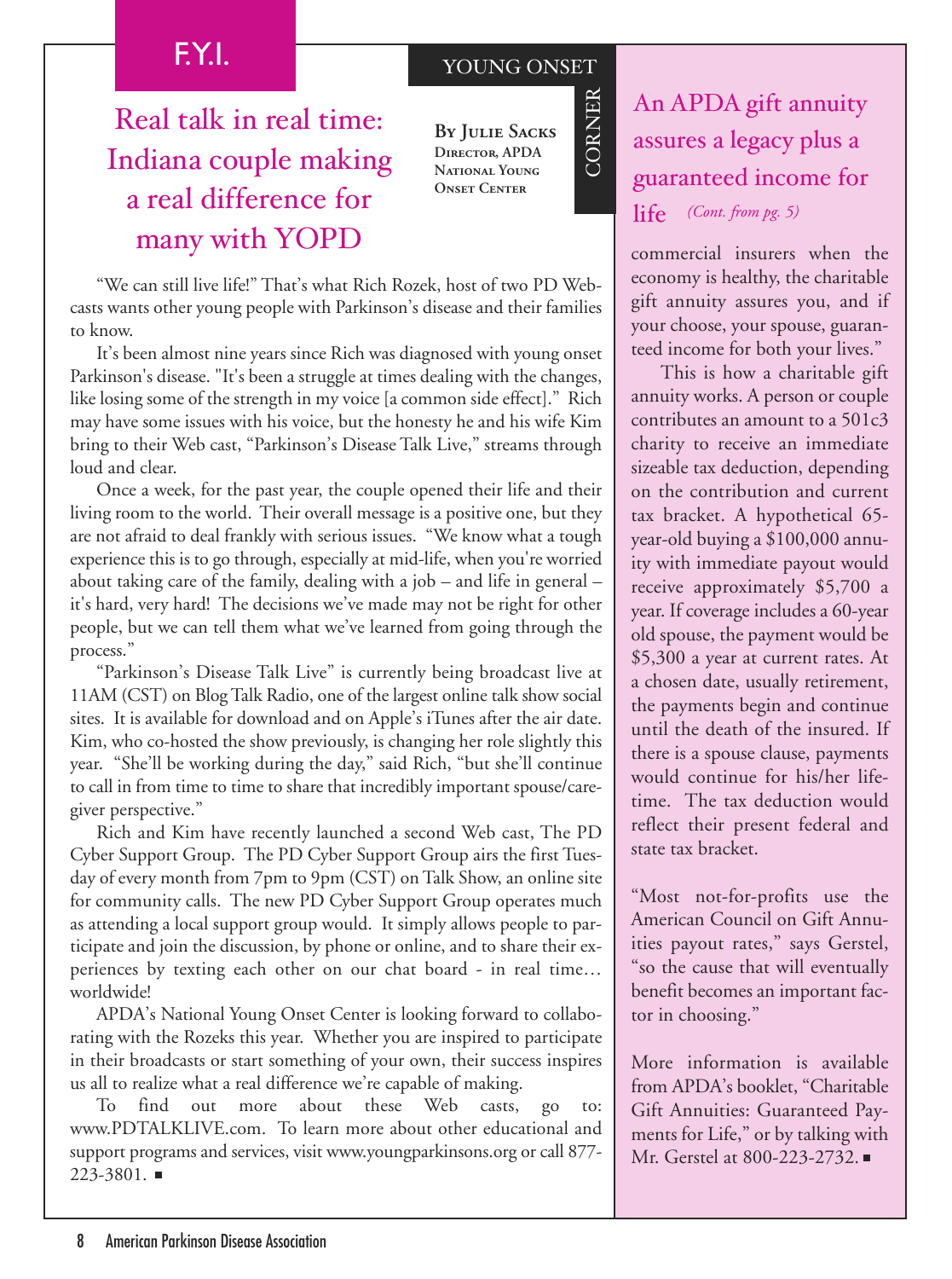#### YOUNG ONSET

 $\cup$  $\bigcirc$  $\approx$  $\mathsf{Z}_\mathsf{I}$  $\Xi$  $\approx$ 

### F.Y.I.

### Real talk in real time: Indiana couple making a real difference for many with YOPD

**By Julie Sacks Director, APDA National Young Onset Center**

"We can still live life!" That's what Rich Rozek, host of two PD Webcasts wants other young people with Parkinson's disease and their families to know.

It's been almost nine years since Rich was diagnosed with young onset Parkinson's disease. "It's been a struggle at times dealing with the changes, like losing some of the strength in my voice [a common side effect]." Rich may have some issues with his voice, but the honesty he and his wife Kim bring to their Web cast, "Parkinson's Disease Talk Live," streams through loud and clear.

Once a week, for the past year, the couple opened their life and their living room to the world. Their overall message is a positive one, but they are not afraid to deal frankly with serious issues. "We know what a tough experience this is to go through, especially at mid-life, when you're worried about taking care of the family, dealing with a job – and life in general – it's hard, very hard! The decisions we've made may not be right for other people, but we can tell them what we've learned from going through the process."

"Parkinson's Disease Talk Live" is currently being broadcast live at 11AM (CST) on BlogTalk Radio, one of the largest online talk show social sites. It is available for download and on Apple's iTunes after the air date. Kim, who co-hosted the show previously, is changing her role slightly this year. "She'll be working during the day," said Rich, "but she'll continue to call in from time to time to share that incredibly important spouse/caregiver perspective."

Rich and Kim have recently launched a second Web cast, The PD Cyber Support Group. The PD Cyber Support Group airs the first Tuesday of every month from 7pm to 9pm (CST) on Talk Show, an online site for community calls. The new PD Cyber Support Group operates much as attending a local support group would. It simply allows people to participate and join the discussion, by phone or online, and to share their experiences by texting each other on our chat board - in real time… worldwide!

APDA's National Young Onset Center is looking forward to collaborating with the Rozeks this year. Whether you are inspired to participate in their broadcasts or start something of your own, their success inspires us all to realize what a real difference we're capable of making.

To find out more about these Web casts, go to: www.PDTALKLIVE.com. To learn more about other educational and support programs and services, visit www.youngparkinsons.org or call 877-  $223 - 3801$ .

### An APDA gift annuity assures a legacy plus a guaranteed income for life *(Cont. from pg. 5)*

commercial insurers when the economy is healthy, the charitable gift annuity assures you, and if your choose, your spouse, guaranteed income for both your lives."

This is how a charitable gift annuity works. A person or couple contributes an amount to a 501c3 charity to receive an immediate sizeable tax deduction, depending on the contribution and current tax bracket. A hypothetical 65 year-old buying a \$100,000 annuity with immediate payout would receive approximately \$5,700 a year. If coverage includes a 60-year old spouse, the payment would be \$5,300 a year at current rates. At a chosen date, usually retirement, the payments begin and continue until the death of the insured. If there is a spouse clause, payments would continue for his/her lifetime. The tax deduction would reflect their present federal and state tax bracket.

"Most not-for-profits use the American Council on Gift Annuities payout rates," says Gerstel, "so the cause that will eventually benefit becomes an important factor in choosing."

More information is available from APDA's booklet, "Charitable Gift Annuities: Guaranteed Payments for Life," or by talking with Mr. Gerstel at 800-223-2732.■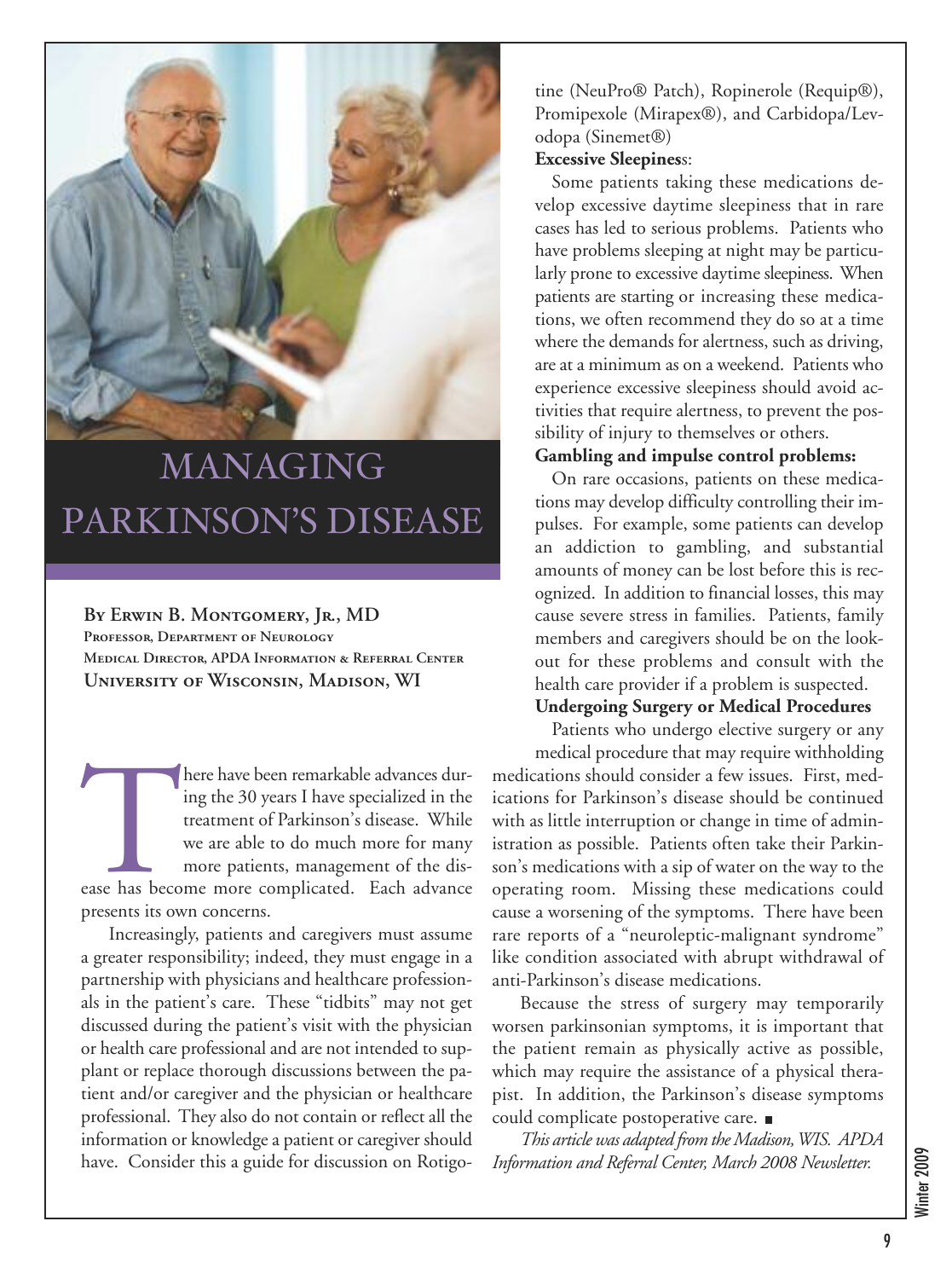

## MANAGING PARKINSON'S DISEASE

**By Erwin B. Montgomery, Jr., MD Professor, Department of Neurology Medical Director, APDA Information & Referral Center University of Wisconsin, Madison, WI**

here have been remarkable advances during the 30 years I have specialized in the treatment of Parkinson's disease. While we are able to do much more for many more patients, management of the disease has become more complic ing the 30 years I have specialized in the treatment of Parkinson's disease. While we are able to do much more for many more patients, management of the disease has become more complicated. Each advance presents its own concerns.

Increasingly, patients and caregivers must assume a greater responsibility; indeed, they must engage in a partnership with physicians and healthcare professionals in the patient's care. These "tidbits" may not get discussed during the patient's visit with the physician or health care professional and are not intended to supplant or replace thorough discussions between the patient and/or caregiver and the physician or healthcare professional. They also do not contain or reflect all the information or knowledge a patient or caregiver should have. Consider this a guide for discussion on Rotigotine (NeuPro® Patch), Ropinerole (Requip®), Promipexole (Mirapex®), and Carbidopa/Levodopa (Sinemet®)

#### **Excessive Sleepines**s:

Some patients taking these medications develop excessive daytime sleepiness that in rare cases has led to serious problems. Patients who have problems sleeping at night may be particularly prone to excessive daytime sleepiness. When patients are starting or increasing these medications, we often recommend they do so at a time where the demands for alertness, such as driving, are at a minimum as on a weekend. Patients who experience excessive sleepiness should avoid activities that require alertness, to prevent the possibility of injury to themselves or others.

#### **Gambling and impulse control problems:**

On rare occasions, patients on these medications may develop difficulty controlling their impulses. For example, some patients can develop an addiction to gambling, and substantial amounts of money can be lost before this is recognized. In addition to financial losses, this may cause severe stress in families. Patients, family members and caregivers should be on the lookout for these problems and consult with the health care provider if a problem is suspected.

#### **Undergoing Surgery or Medical Procedures**

Patients who undergo elective surgery or any medical procedure that may require withholding medications should consider a few issues. First, medications for Parkinson's disease should be continued with as little interruption or change in time of administration as possible. Patients often take their Parkinson's medications with a sip of water on the way to the operating room. Missing these medications could cause a worsening of the symptoms. There have been rare reports of a "neuroleptic-malignant syndrome" like condition associated with abrupt withdrawal of anti-Parkinson's disease medications.

Because the stress of surgery may temporarily worsen parkinsonian symptoms, it is important that the patient remain as physically active as possible, which may require the assistance of a physical therapist. In addition, the Parkinson's disease symptoms could complicate postoperative care.

*This articlewas adapted from the Madison,WIS. APDA Information and Referral Center, March 2008 Newsletter.*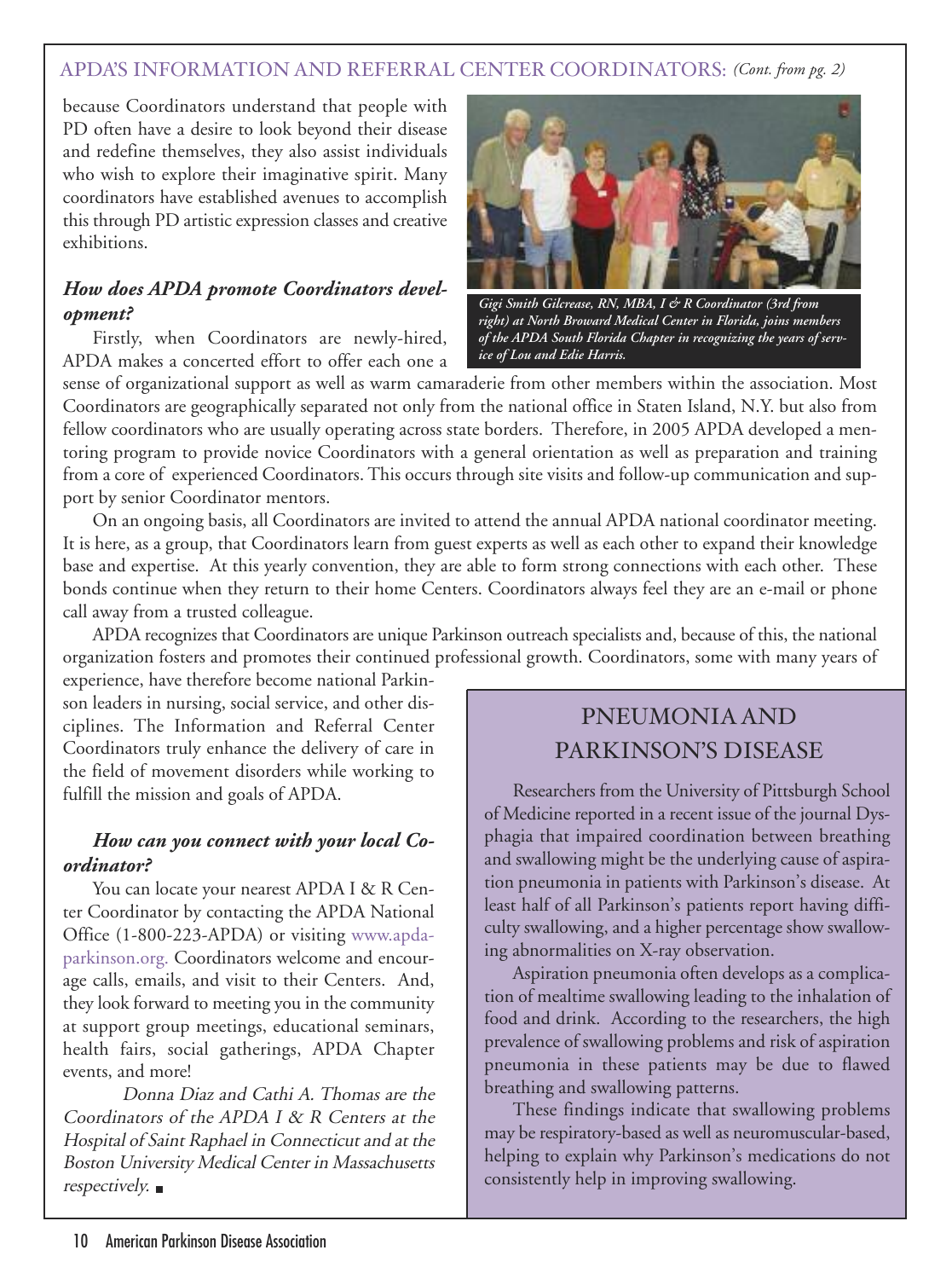#### APDA'S INFORMATION AND REFERRAL CENTER COORDINATORS: *(Cont. from pg. 2)*

because Coordinators understand that people with PD often have a desire to look beyond their disease and redefine themselves, they also assist individuals who wish to explore their imaginative spirit. Many coordinators have established avenues to accomplish this through PD artistic expression classes and creative exhibitions.

#### *How does APDA promote Coordinators development?*

 Firstly, when Coordinators are newly-hired, APDA makes a concerted effort to offer each one a



*Gigi Smith Gilcrease, RN, MBA, I & R Coordinator (3rd from right) at North Broward Medical Center in Florida, joins members of the APDA South Florida Chapter in recognizing the years of service of Lou and Edie Harris.*

sense of organizational support as well as warm camaraderie from other members within the association. Most Coordinators are geographically separated not only from the national office in Staten Island, N.Y. but also from fellow coordinators who are usually operating across state borders. Therefore, in 2005 APDA developed a mentoring program to provide novice Coordinators with a general orientation as well as preparation and training from a core of experienced Coordinators. This occurs through site visits and follow-up communication and support by senior Coordinator mentors.

 On an ongoing basis, all Coordinators are invited to attend the annual APDA national coordinator meeting. It is here, as a group, that Coordinators learn from guest experts as well as each other to expand their knowledge base and expertise. At this yearly convention, they are able to form strong connections with each other. These bonds continue when they return to their home Centers. Coordinators always feel they are an e-mail or phone call away from a trusted colleague.

 APDA recognizes that Coordinators are unique Parkinson outreach specialists and, because of this, the national organization fosters and promotes their continued professional growth. Coordinators, some with many years of

experience, have therefore become national Parkinson leaders in nursing, social service, and other disciplines. The Information and Referral Center Coordinators truly enhance the delivery of care in the field of movement disorders while working to fulfill the mission and goals of APDA.

#### *How can you connect with your local Coordinator?*

You can locate your nearest APDA I & R Center Coordinator by contacting the APDA National Office (1-800-223-APDA) or visiting www.apdaparkinson.org. Coordinators welcome and encourage calls, emails, and visit to their Centers. And, they look forward to meeting you in the community at support group meetings, educational seminars, health fairs, social gatherings, APDA Chapter events, and more!

Donna Diaz and Cathi A. Thomas are the Coordinators of the APDA I & R Centers at the Hospital of Saint Raphael in Connecticut and at the Boston University Medical Center in Massachusetts respectively.

### PNEUMONIA AND PARKINSON'S DISEASE

Researchers from the University of Pittsburgh School of Medicine reported in a recent issue of the journal Dysphagia that impaired coordination between breathing and swallowing might be the underlying cause of aspiration pneumonia in patients with Parkinson's disease. At least half of all Parkinson's patients report having difficulty swallowing, and a higher percentage show swallowing abnormalities on X-ray observation.

Aspiration pneumonia often develops as a complication of mealtime swallowing leading to the inhalation of food and drink. According to the researchers, the high prevalence of swallowing problems and risk of aspiration pneumonia in these patients may be due to flawed breathing and swallowing patterns.

These findings indicate that swallowing problems may be respiratory-based as well as neuromuscular-based, helping to explain why Parkinson's medications do not consistently help in improving swallowing.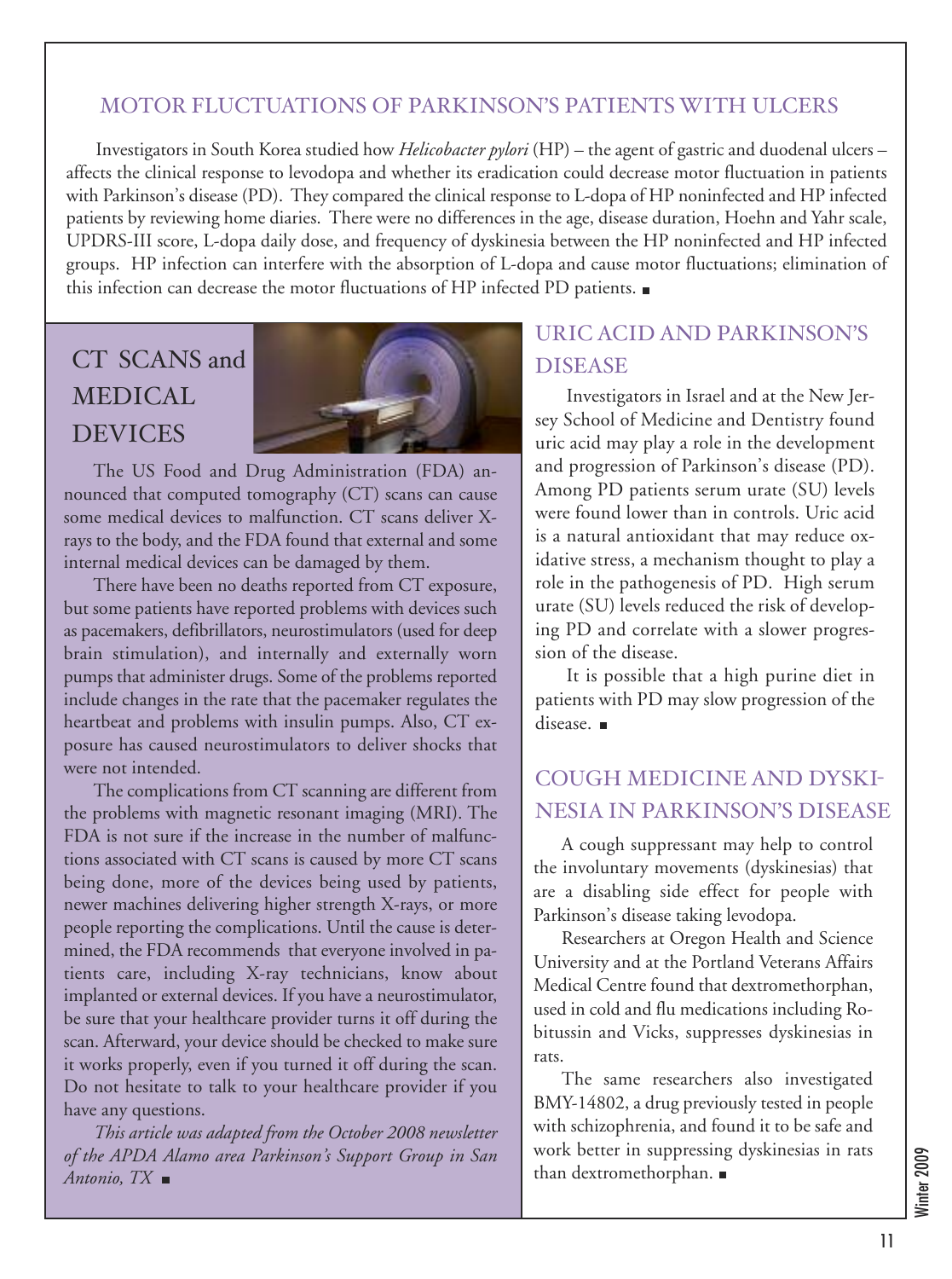#### MOTOR FLUCTUATIONS OF PARKINSON'S PATIENTS WITH ULCERS

Investigators in South Korea studied how *Helicobacter pylori* (HP) – the agent of gastric and duodenal ulcers – affects the clinical response to levodopa and whether its eradication could decrease motor fluctuation in patients with Parkinson's disease (PD). They compared the clinical response to L-dopa of HP noninfected and HP infected patients by reviewing home diaries. There were no differences in the age, disease duration, Hoehn and Yahr scale, UPDRS-III score, L-dopa daily dose, and frequency of dyskinesia between the HP noninfected and HP infected groups. HP infection can interfere with the absorption of L-dopa and cause motor fluctuations; elimination of this infection can decrease the motor fluctuations of HP infected PD patients.

### CT SCANS and MEDICAL DEVICES



The US Food and Drug Administration (FDA) announced that computed tomography (CT) scans can cause some medical devices to malfunction. CT scans deliver Xrays to the body, and the FDA found that external and some internal medical devices can be damaged by them.

There have been no deaths reported from CT exposure, but some patients have reported problems with devices such as pacemakers, defibrillators, neurostimulators (used for deep brain stimulation), and internally and externally worn pumps that administer drugs. Some of the problems reported include changes in the rate that the pacemaker regulates the heartbeat and problems with insulin pumps. Also, CT exposure has caused neurostimulators to deliver shocks that were not intended.

The complications from CT scanning are different from the problems with magnetic resonant imaging (MRI). The FDA is not sure if the increase in the number of malfunctions associated with CT scans is caused by more CT scans being done, more of the devices being used by patients, newer machines delivering higher strength X-rays, or more people reporting the complications. Until the cause is determined, the FDA recommends that everyone involved in patients care, including X-ray technicians, know about implanted or external devices. If you have a neurostimulator, be sure that your healthcare provider turns it off during the scan. Afterward, your device should be checked to make sure it works properly, even if you turned it off during the scan. Do not hesitate to talk to your healthcare provider if you have any questions.

*This article was adapted from the October 2008 newsletter of the APDA Alamo area Parkinson's Support Group in San Antonio, TX*

### URIC ACID AND PARKINSON'S DISEASE

Investigators in Israel and at the New Jersey School of Medicine and Dentistry found uric acid may play a role in the development and progression of Parkinson's disease (PD). Among PD patients serum urate (SU) levels were found lower than in controls. Uric acid is a natural antioxidant that may reduce oxidative stress, a mechanism thought to play a role in the pathogenesis of PD. High serum urate (SU) levels reduced the risk of developing PD and correlate with a slower progression of the disease.

It is possible that a high purine diet in patients with PD may slow progression of the disease.  $\blacksquare$ 

### COUGH MEDICINE AND DYSKI-NESIA IN PARKINSON'S DISEASE

A cough suppressant may help to control the involuntary movements (dyskinesias) that are a disabling side effect for people with Parkinson's disease taking levodopa.

Researchers at Oregon Health and Science University and at the Portland Veterans Affairs Medical Centre found that dextromethorphan, used in cold and flu medications including Robitussin and Vicks, suppresses dyskinesias in rats.

The same researchers also investigated BMY-14802, a drug previously tested in people with schizophrenia, and found it to be safe and work better in suppressing dyskinesias in rats than dextromethorphan.